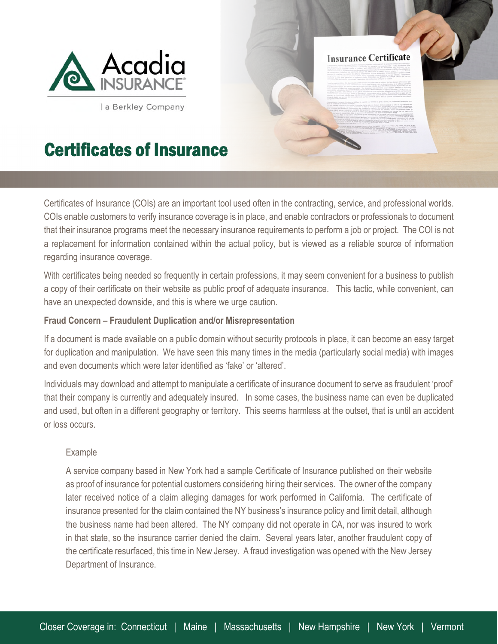

a Berkley Company

# Certificates of Insurance

Certificates of Insurance (COIs) are an important tool used often in the contracting, service, and professional worlds. COIs enable customers to verify insurance coverage is in place, and enable contractors or professionals to document that their insurance programs meet the necessary insurance requirements to perform a job or project. The COI is not a replacement for information contained within the actual policy, but is viewed as a reliable source of information regarding insurance coverage.

**Insurance Certificate** 

With certificates being needed so frequently in certain professions, it may seem convenient for a business to publish a copy of their certificate on their website as public proof of adequate insurance. This tactic, while convenient, can have an unexpected downside, and this is where we urge caution.

### **Fraud Concern – Fraudulent Duplication and/or Misrepresentation**

If a document is made available on a public domain without security protocols in place, it can become an easy target for duplication and manipulation. We have seen this many times in the media (particularly social media) with images and even documents which were later identified as 'fake' or 'altered'.

Individuals may download and attempt to manipulate a certificate of insurance document to serve as fraudulent 'proof' that their company is currently and adequately insured. In some cases, the business name can even be duplicated and used, but often in a different geography or territory. This seems harmless at the outset, that is until an accident or loss occurs.

## Example

A service company based in New York had a sample Certificate of Insurance published on their website as proof of insurance for potential customers considering hiring their services. The owner of the company later received notice of a claim alleging damages for work performed in California. The certificate of insurance presented for the claim contained the NY business's insurance policy and limit detail, although the business name had been altered. The NY company did not operate in CA, nor was insured to work in that state, so the insurance carrier denied the claim. Several years later, another fraudulent copy of the certificate resurfaced, this time in New Jersey. A fraud investigation was opened with the New Jersey Department of Insurance.